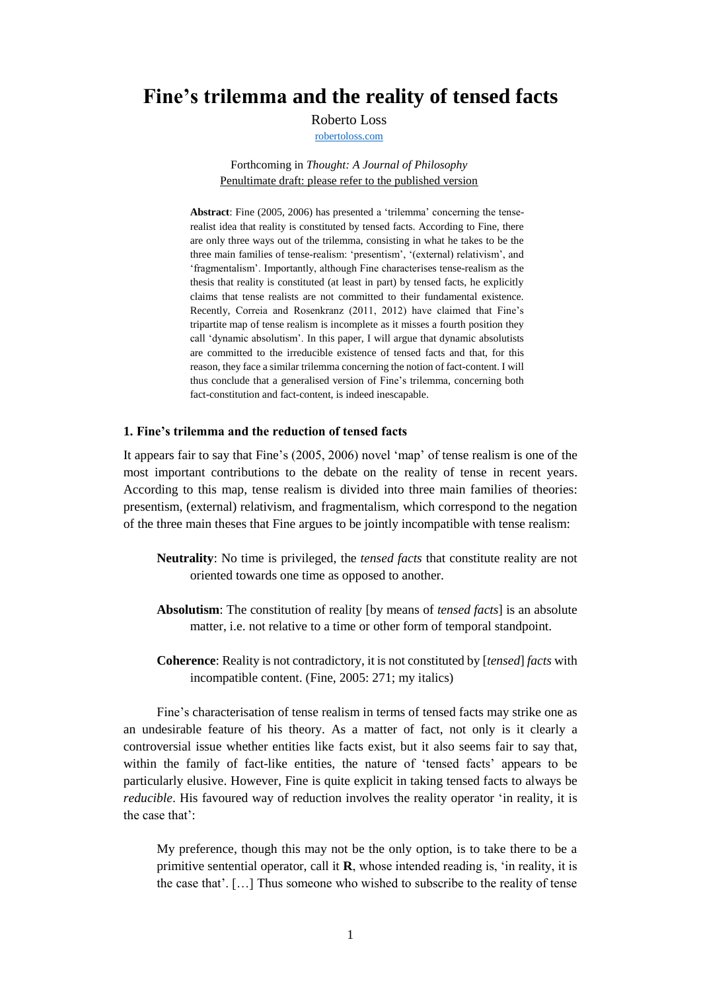# **Fine's trilemma and the reality of tensed facts**

Roberto Loss

[robertoloss.com](http://robertoloss.com/)

Forthcoming in *Thought: A Journal of Philosophy* Penultimate draft: please refer to the published version

**Abstract**: Fine (2005, 2006) has presented a 'trilemma' concerning the tenserealist idea that reality is constituted by tensed facts. According to Fine, there are only three ways out of the trilemma, consisting in what he takes to be the three main families of tense-realism: 'presentism', '(external) relativism', and 'fragmentalism'. Importantly, although Fine characterises tense-realism as the thesis that reality is constituted (at least in part) by tensed facts, he explicitly claims that tense realists are not committed to their fundamental existence. Recently, Correia and Rosenkranz (2011, 2012) have claimed that Fine's tripartite map of tense realism is incomplete as it misses a fourth position they call 'dynamic absolutism'. In this paper, I will argue that dynamic absolutists are committed to the irreducible existence of tensed facts and that, for this reason, they face a similar trilemma concerning the notion of fact-content. I will thus conclude that a generalised version of Fine's trilemma, concerning both fact-constitution and fact-content, is indeed inescapable.

## **1. Fine's trilemma and the reduction of tensed facts**

It appears fair to say that Fine's (2005, 2006) novel 'map' of tense realism is one of the most important contributions to the debate on the reality of tense in recent years. According to this map, tense realism is divided into three main families of theories: presentism, (external) relativism, and fragmentalism, which correspond to the negation of the three main theses that Fine argues to be jointly incompatible with tense realism:

- **Neutrality**: No time is privileged, the *tensed facts* that constitute reality are not oriented towards one time as opposed to another.
- **Absolutism**: The constitution of reality [by means of *tensed facts*] is an absolute matter, i.e. not relative to a time or other form of temporal standpoint.
- **Coherence**: Reality is not contradictory, it is not constituted by [*tensed*] *facts* with incompatible content. (Fine, 2005: 271; my italics)

Fine's characterisation of tense realism in terms of tensed facts may strike one as an undesirable feature of his theory. As a matter of fact, not only is it clearly a controversial issue whether entities like facts exist, but it also seems fair to say that, within the family of fact-like entities, the nature of 'tensed facts' appears to be particularly elusive. However, Fine is quite explicit in taking tensed facts to always be *reducible*. His favoured way of reduction involves the reality operator 'in reality, it is the case that':

My preference, though this may not be the only option, is to take there to be a primitive sentential operator, call it **R**, whose intended reading is, 'in reality, it is the case that'. […] Thus someone who wished to subscribe to the reality of tense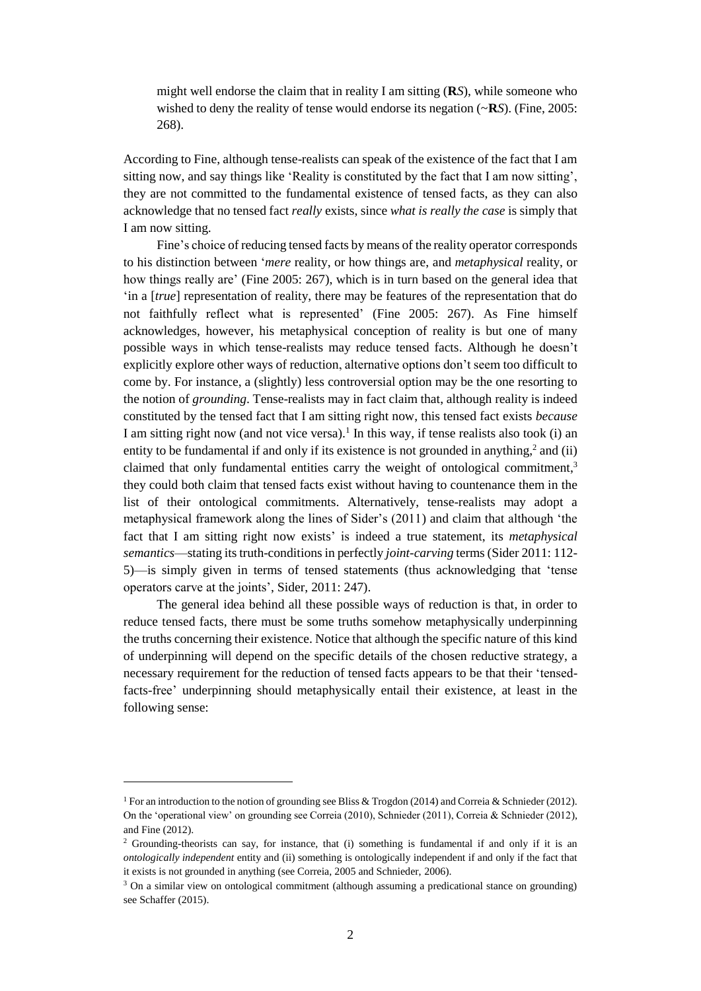might well endorse the claim that in reality I am sitting (**R***S*), while someone who wished to deny the reality of tense would endorse its negation (~**R***S*). (Fine, 2005: 268).

According to Fine, although tense-realists can speak of the existence of the fact that I am sitting now, and say things like 'Reality is constituted by the fact that I am now sitting', they are not committed to the fundamental existence of tensed facts, as they can also acknowledge that no tensed fact *really* exists, since *what is really the case* is simply that I am now sitting.

Fine's choice of reducing tensed facts by means of the reality operator corresponds to his distinction between '*mere* reality, or how things are, and *metaphysical* reality, or how things really are' (Fine 2005: 267), which is in turn based on the general idea that 'in a [*true*] representation of reality, there may be features of the representation that do not faithfully reflect what is represented' (Fine 2005: 267). As Fine himself acknowledges, however, his metaphysical conception of reality is but one of many possible ways in which tense-realists may reduce tensed facts. Although he doesn't explicitly explore other ways of reduction, alternative options don't seem too difficult to come by. For instance, a (slightly) less controversial option may be the one resorting to the notion of *grounding*. Tense-realists may in fact claim that, although reality is indeed constituted by the tensed fact that I am sitting right now, this tensed fact exists *because* I am sitting right now (and not vice versa).<sup>1</sup> In this way, if tense realists also took (i) an entity to be fundamental if and only if its existence is not grounded in anything, $2$  and (ii) claimed that only fundamental entities carry the weight of ontological commitment,<sup>3</sup> they could both claim that tensed facts exist without having to countenance them in the list of their ontological commitments. Alternatively, tense-realists may adopt a metaphysical framework along the lines of Sider's (2011) and claim that although 'the fact that I am sitting right now exists' is indeed a true statement, its *metaphysical semantics*—stating its truth-conditions in perfectly *joint-carving* terms (Sider 2011: 112- 5)—is simply given in terms of tensed statements (thus acknowledging that 'tense operators carve at the joints', Sider, 2011: 247).

The general idea behind all these possible ways of reduction is that, in order to reduce tensed facts, there must be some truths somehow metaphysically underpinning the truths concerning their existence. Notice that although the specific nature of this kind of underpinning will depend on the specific details of the chosen reductive strategy, a necessary requirement for the reduction of tensed facts appears to be that their 'tensedfacts-free' underpinning should metaphysically entail their existence, at least in the following sense:

<sup>&</sup>lt;sup>1</sup> For an introduction to the notion of grounding see Bliss & Trogdon (2014) and Correia & Schnieder (2012). On the 'operational view' on grounding see Correia (2010), Schnieder (2011), Correia & Schnieder (2012), and Fine (2012).

<sup>2</sup> Grounding-theorists can say, for instance, that (i) something is fundamental if and only if it is an *ontologically independent* entity and (ii) something is ontologically independent if and only if the fact that it exists is not grounded in anything (see Correia, 2005 and Schnieder, 2006).

<sup>3</sup> On a similar view on ontological commitment (although assuming a predicational stance on grounding) see Schaffer (2015).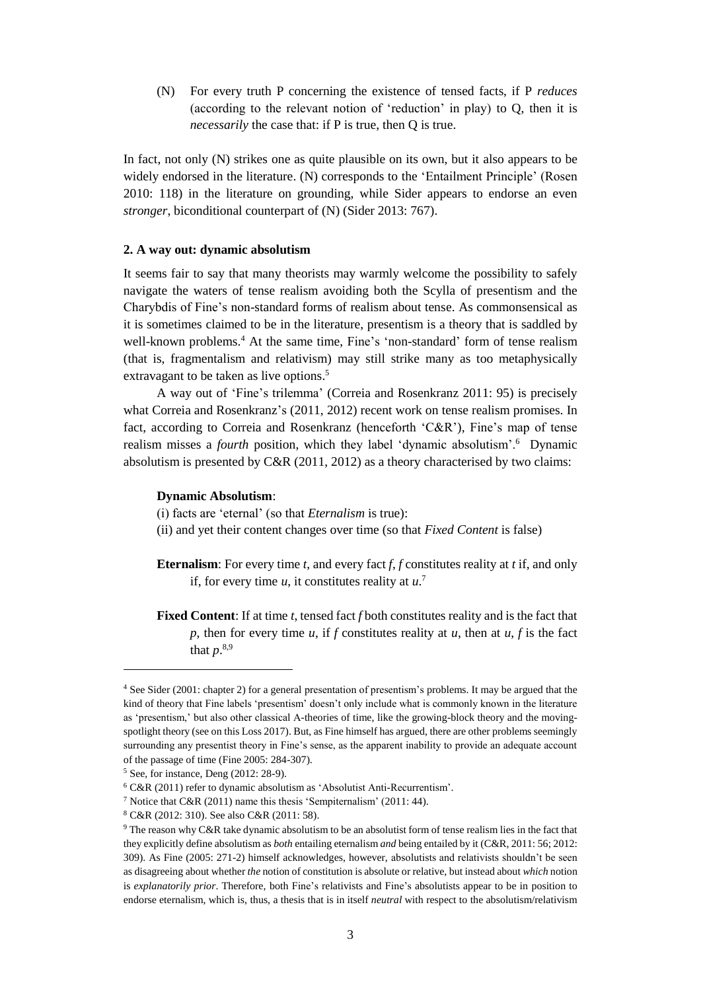(N) For every truth P concerning the existence of tensed facts, if P *reduces* (according to the relevant notion of 'reduction' in play) to Q, then it is *necessarily* the case that: if P is true, then Q is true.

In fact, not only (N) strikes one as quite plausible on its own, but it also appears to be widely endorsed in the literature. (N) corresponds to the 'Entailment Principle' (Rosen 2010: 118) in the literature on grounding, while Sider appears to endorse an even *stronger*, biconditional counterpart of (N) (Sider 2013: 767).

#### **2. A way out: dynamic absolutism**

It seems fair to say that many theorists may warmly welcome the possibility to safely navigate the waters of tense realism avoiding both the Scylla of presentism and the Charybdis of Fine's non-standard forms of realism about tense. As commonsensical as it is sometimes claimed to be in the literature, presentism is a theory that is saddled by well-known problems. <sup>4</sup> At the same time, Fine's 'non-standard' form of tense realism (that is, fragmentalism and relativism) may still strike many as too metaphysically extravagant to be taken as live options.<sup>5</sup>

A way out of 'Fine's trilemma' (Correia and Rosenkranz 2011: 95) is precisely what Correia and Rosenkranz's (2011, 2012) recent work on tense realism promises. In fact, according to Correia and Rosenkranz (henceforth 'C&R'), Fine's map of tense realism misses a *fourth* position, which they label 'dynamic absolutism'.<sup>6</sup> Dynamic absolutism is presented by C&R (2011, 2012) as a theory characterised by two claims:

## **Dynamic Absolutism**:

- (i) facts are 'eternal' (so that *Eternalism* is true):
- (ii) and yet their content changes over time (so that *Fixed Content* is false)
- **Eternalism**: For every time *t*, and every fact *f*, *f* constitutes reality at *t* if, and only if, for every time  $u$ , it constitutes reality at  $u$ <sup>7</sup>
- **Fixed Content**: If at time *t*, tensed fact *f* both constitutes reality and is the fact that  $p$ , then for every time *u*, if  $f$  constitutes reality at *u*, then at *u*,  $f$  is the fact that  $p.^{8,9}$

<sup>4</sup> See Sider (2001: chapter 2) for a general presentation of presentism's problems. It may be argued that the kind of theory that Fine labels 'presentism' doesn't only include what is commonly known in the literature as 'presentism,' but also other classical A-theories of time, like the growing-block theory and the movingspotlight theory (see on this Loss 2017). But, as Fine himself has argued, there are other problems seemingly surrounding any presentist theory in Fine's sense, as the apparent inability to provide an adequate account of the passage of time (Fine 2005: 284-307).

<sup>5</sup> See, for instance, Deng (2012: 28-9).

<sup>6</sup> C&R (2011) refer to dynamic absolutism as 'Absolutist Anti-Recurrentism'.

<sup>7</sup> Notice that C&R (2011) name this thesis 'Sempiternalism' (2011: 44).

<sup>8</sup> C&R (2012: 310). See also C&R (2011: 58).

<sup>9</sup> The reason why C&R take dynamic absolutism to be an absolutist form of tense realism lies in the fact that they explicitly define absolutism as *both* entailing eternalism *and* being entailed by it (C&R, 2011: 56; 2012: 309). As Fine (2005: 271-2) himself acknowledges, however, absolutists and relativists shouldn't be seen as disagreeing about whether *the* notion of constitution is absolute or relative, but instead about *which* notion is *explanatorily prior*. Therefore, both Fine's relativists and Fine's absolutists appear to be in position to endorse eternalism, which is, thus, a thesis that is in itself *neutral* with respect to the absolutism/relativism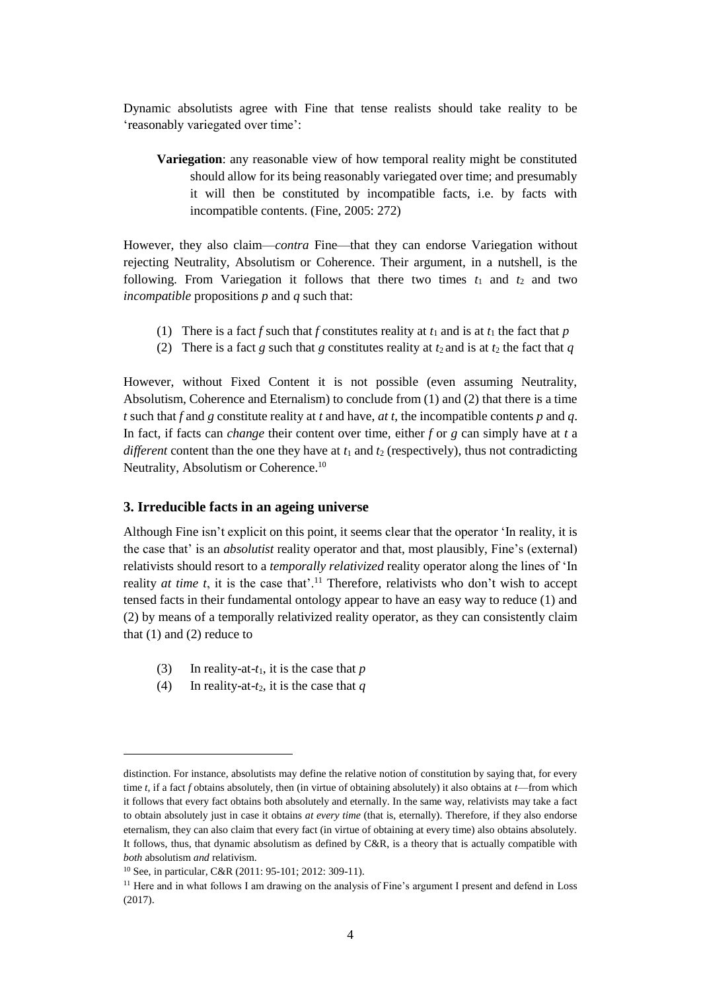Dynamic absolutists agree with Fine that tense realists should take reality to be 'reasonably variegated over time':

**Variegation**: any reasonable view of how temporal reality might be constituted should allow for its being reasonably variegated over time; and presumably it will then be constituted by incompatible facts, i.e. by facts with incompatible contents. (Fine, 2005: 272)

However, they also claim—*contra* Fine—that they can endorse Variegation without rejecting Neutrality, Absolutism or Coherence. Their argument, in a nutshell, is the following. From Variegation it follows that there two times  $t_1$  and  $t_2$  and two *incompatible* propositions *p* and *q* such that:

- (1) There is a fact *f* such that *f* constitutes reality at  $t_1$  and is at  $t_1$  the fact that *p*
- (2) There is a fact *g* such that *g* constitutes reality at  $t_2$  and is at  $t_2$  the fact that *q*

However, without Fixed Content it is not possible (even assuming Neutrality, Absolutism, Coherence and Eternalism) to conclude from (1) and (2) that there is a time *t* such that *f* and *g* constitute reality at *t* and have, *at t*, the incompatible contents *p* and *q*. In fact, if facts can *change* their content over time, either *f* or *g* can simply have at *t* a *different* content than the one they have at  $t_1$  and  $t_2$  (respectively), thus not contradicting Neutrality, Absolutism or Coherence.<sup>10</sup>

## **3. Irreducible facts in an ageing universe**

Although Fine isn't explicit on this point, it seems clear that the operator 'In reality, it is the case that' is an *absolutist* reality operator and that, most plausibly, Fine's (external) relativists should resort to a *temporally relativized* reality operator along the lines of 'In reality *at time t*, it is the case that'.<sup>11</sup> Therefore, relativists who don't wish to accept tensed facts in their fundamental ontology appear to have an easy way to reduce (1) and (2) by means of a temporally relativized reality operator, as they can consistently claim that  $(1)$  and  $(2)$  reduce to

- (3) In reality-at-*t*1, it is the case that *p*
- (4) In reality-at-*t*2, it is the case that *q*

 $\overline{\phantom{a}}$ 

distinction. For instance, absolutists may define the relative notion of constitution by saying that, for every time *t*, if a fact *f* obtains absolutely, then (in virtue of obtaining absolutely) it also obtains at *t*—from which it follows that every fact obtains both absolutely and eternally. In the same way, relativists may take a fact to obtain absolutely just in case it obtains *at every time* (that is, eternally). Therefore, if they also endorse eternalism, they can also claim that every fact (in virtue of obtaining at every time) also obtains absolutely. It follows, thus, that dynamic absolutism as defined by C&R, is a theory that is actually compatible with *both* absolutism *and* relativism.

<sup>10</sup> See, in particular, C&R (2011: 95-101; 2012: 309-11).

<sup>&</sup>lt;sup>11</sup> Here and in what follows I am drawing on the analysis of Fine's argument I present and defend in Loss (2017).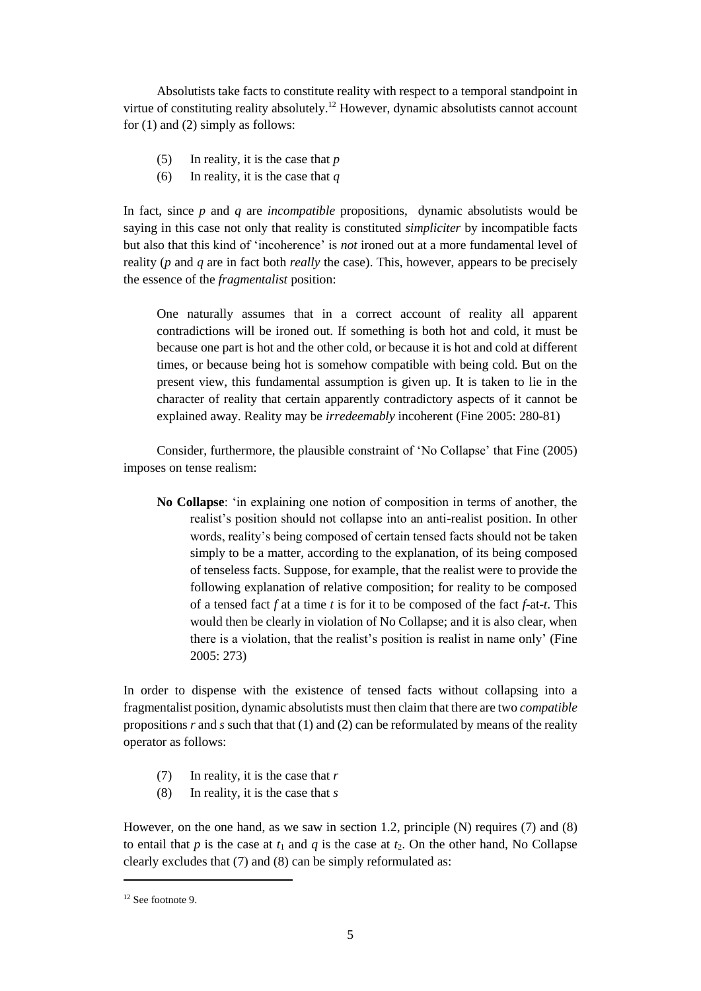Absolutists take facts to constitute reality with respect to a temporal standpoint in virtue of constituting reality absolutely.<sup>12</sup> However, dynamic absolutists cannot account for (1) and (2) simply as follows:

- (5) In reality, it is the case that *p*
- (6) In reality, it is the case that *q*

In fact, since *p* and *q* are *incompatible* propositions, dynamic absolutists would be saying in this case not only that reality is constituted *simpliciter* by incompatible facts but also that this kind of 'incoherence' is *not* ironed out at a more fundamental level of reality (*p* and *q* are in fact both *really* the case). This, however, appears to be precisely the essence of the *fragmentalist* position:

One naturally assumes that in a correct account of reality all apparent contradictions will be ironed out. If something is both hot and cold, it must be because one part is hot and the other cold, or because it is hot and cold at different times, or because being hot is somehow compatible with being cold. But on the present view, this fundamental assumption is given up. It is taken to lie in the character of reality that certain apparently contradictory aspects of it cannot be explained away. Reality may be *irredeemably* incoherent (Fine 2005: 280-81)

Consider, furthermore, the plausible constraint of 'No Collapse' that Fine (2005) imposes on tense realism:

**No Collapse**: 'in explaining one notion of composition in terms of another, the realist's position should not collapse into an anti-realist position. In other words, reality's being composed of certain tensed facts should not be taken simply to be a matter, according to the explanation, of its being composed of tenseless facts. Suppose, for example, that the realist were to provide the following explanation of relative composition; for reality to be composed of a tensed fact *f* at a time *t* is for it to be composed of the fact *f*-at-*t*. This would then be clearly in violation of No Collapse; and it is also clear, when there is a violation, that the realist's position is realist in name only' (Fine 2005: 273)

In order to dispense with the existence of tensed facts without collapsing into a fragmentalist position, dynamic absolutists must then claim that there are two *compatible* propositions *r* and *s* such that that (1) and (2) can be reformulated by means of the reality operator as follows:

- (7) In reality, it is the case that *r*
- (8) In reality, it is the case that *s*

However, on the one hand, as we saw in section 1.2, principle (N) requires (7) and (8) to entail that *p* is the case at  $t_1$  and *q* is the case at  $t_2$ . On the other hand, No Collapse clearly excludes that (7) and (8) can be simply reformulated as:

 $\overline{a}$ 

<sup>12</sup> See footnote 9.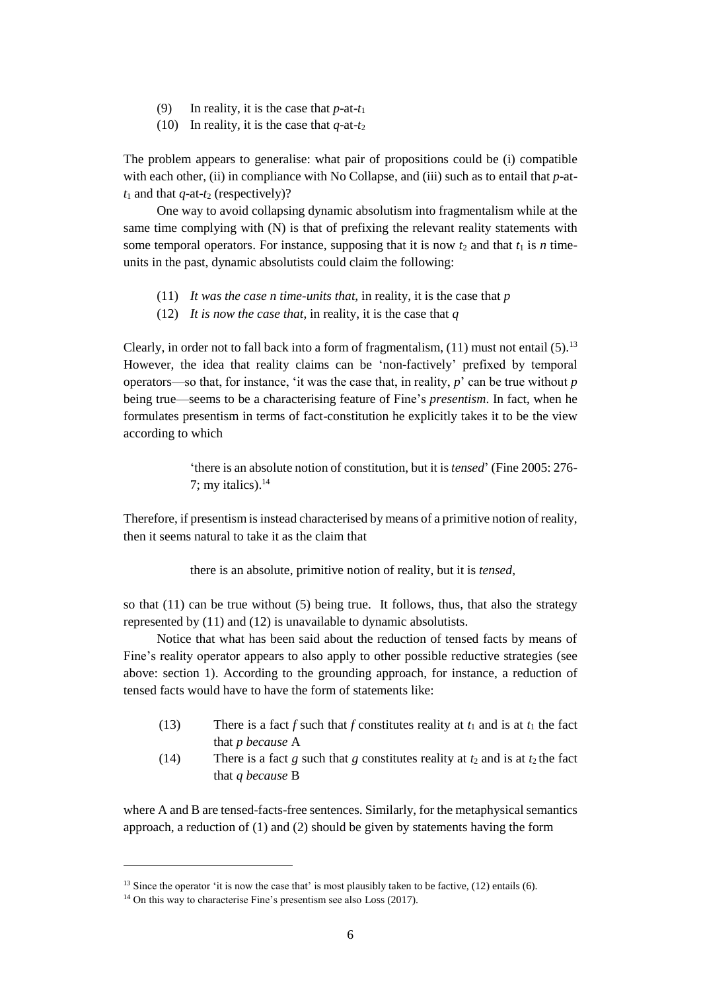- (9) In reality, it is the case that *p*-at-*t*<sup>1</sup>
- (10) In reality, it is the case that  $q$ -at- $t_2$

The problem appears to generalise: what pair of propositions could be (i) compatible with each other, (ii) in compliance with No Collapse, and (iii) such as to entail that *p*-at $t_1$  and that  $q$ -at- $t_2$  (respectively)?

One way to avoid collapsing dynamic absolutism into fragmentalism while at the same time complying with (N) is that of prefixing the relevant reality statements with some temporal operators. For instance, supposing that it is now  $t_2$  and that  $t_1$  is *n* timeunits in the past, dynamic absolutists could claim the following:

- (11) *It was the case n time-units that*, in reality, it is the case that *p*
- (12) *It is now the case that*, in reality, it is the case that *q*

Clearly, in order not to fall back into a form of fragmentalism,  $(11)$  must not entail  $(5)$ .<sup>13</sup> However, the idea that reality claims can be 'non-factively' prefixed by temporal operators—so that, for instance, 'it was the case that, in reality,  $p'$  can be true without  $p$ being true—seems to be a characterising feature of Fine's *presentism*. In fact, when he formulates presentism in terms of fact-constitution he explicitly takes it to be the view according to which

> 'there is an absolute notion of constitution, but it is *tensed*' (Fine 2005: 276- 7; my italics). 14

Therefore, if presentism is instead characterised by means of a primitive notion of reality, then it seems natural to take it as the claim that

there is an absolute, primitive notion of reality, but it is *tensed*,

so that (11) can be true without (5) being true. It follows, thus, that also the strategy represented by (11) and (12) is unavailable to dynamic absolutists.

Notice that what has been said about the reduction of tensed facts by means of Fine's reality operator appears to also apply to other possible reductive strategies (see above: section 1). According to the grounding approach, for instance, a reduction of tensed facts would have to have the form of statements like:

- (13) There is a fact *f* such that *f* constitutes reality at  $t_1$  and is at  $t_1$  the fact that *p because* A
- (14) There is a fact *g* such that *g* constitutes reality at  $t_2$  and is at  $t_2$  the fact that *q because* B

where A and B are tensed-facts-free sentences. Similarly, for the metaphysical semantics approach, a reduction of (1) and (2) should be given by statements having the form

<sup>&</sup>lt;sup>13</sup> Since the operator 'it is now the case that' is most plausibly taken to be factive,  $(12)$  entails  $(6)$ .

<sup>&</sup>lt;sup>14</sup> On this way to characterise Fine's presentism see also Loss (2017).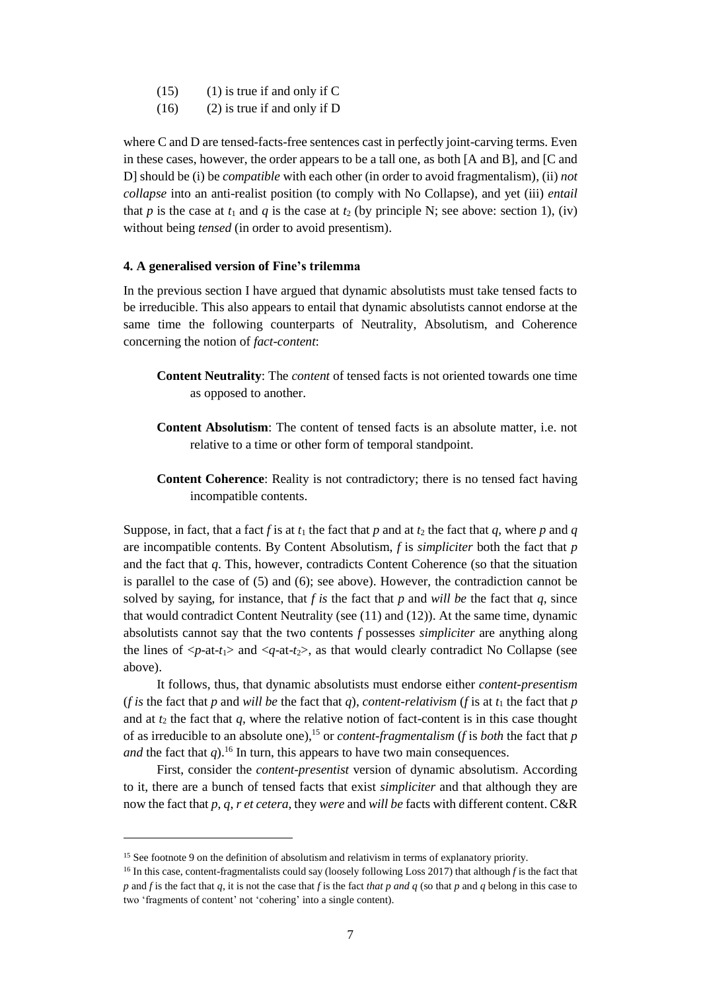- (15) (1) is true if and only if C
- $(16)$  (2) is true if and only if D

where C and D are tensed-facts-free sentences cast in perfectly joint-carving terms. Even in these cases, however, the order appears to be a tall one, as both [A and B], and [C and D] should be (i) be *compatible* with each other (in order to avoid fragmentalism), (ii) *not collapse* into an anti-realist position (to comply with No Collapse), and yet (iii) *entail* that *p* is the case at  $t_1$  and *q* is the case at  $t_2$  (by principle N; see above: section 1), (iv) without being *tensed* (in order to avoid presentism).

#### **4. A generalised version of Fine's trilemma**

In the previous section I have argued that dynamic absolutists must take tensed facts to be irreducible. This also appears to entail that dynamic absolutists cannot endorse at the same time the following counterparts of Neutrality, Absolutism, and Coherence concerning the notion of *fact-content*:

- **Content Neutrality**: The *content* of tensed facts is not oriented towards one time as opposed to another.
- **Content Absolutism**: The content of tensed facts is an absolute matter, i.e. not relative to a time or other form of temporal standpoint.
- **Content Coherence**: Reality is not contradictory; there is no tensed fact having incompatible contents.

Suppose, in fact, that a fact *f* is at  $t_1$  the fact that *p* and at  $t_2$  the fact that *q*, where *p* and *q* are incompatible contents. By Content Absolutism, *f* is *simpliciter* both the fact that *p* and the fact that *q*. This, however, contradicts Content Coherence (so that the situation is parallel to the case of (5) and (6); see above). However, the contradiction cannot be solved by saying, for instance, that  $f$  *is* the fact that  $p$  and *will be* the fact that  $q$ , since that would contradict Content Neutrality (see (11) and (12)). At the same time, dynamic absolutists cannot say that the two contents *f* possesses *simpliciter* are anything along the lines of  $\langle p\text{-at-}t_1\rangle$  and  $\langle q\text{-at-}t_2\rangle$ , as that would clearly contradict No Collapse (see above).

It follows, thus, that dynamic absolutists must endorse either *content-presentism* (*f* is the fact that *p* and *will be* the fact that *q*), *content-relativism* (*f* is at  $t_1$  the fact that *p* and at  $t_2$  the fact that  $q$ , where the relative notion of fact-content is in this case thought of as irreducible to an absolute one),<sup>15</sup> or *content-fragmentalism* (*f* is *both* the fact that *p and* the fact that  $q$ ).<sup>16</sup> In turn, this appears to have two main consequences.

First, consider the *content-presentist* version of dynamic absolutism. According to it, there are a bunch of tensed facts that exist *simpliciter* and that although they are now the fact that *p*, *q*, *r et cetera*, they *were* and *will be* facts with different content. C&R

<sup>&</sup>lt;sup>15</sup> See footnote 9 on the definition of absolutism and relativism in terms of explanatory priority.

<sup>16</sup> In this case, content-fragmentalists could say (loosely following Loss 2017) that although *f* is the fact that *p* and *f* is the fact that *q*, it is not the case that *f* is the fact *that p and q* (so that *p* and *q* belong in this case to two 'fragments of content' not 'cohering' into a single content).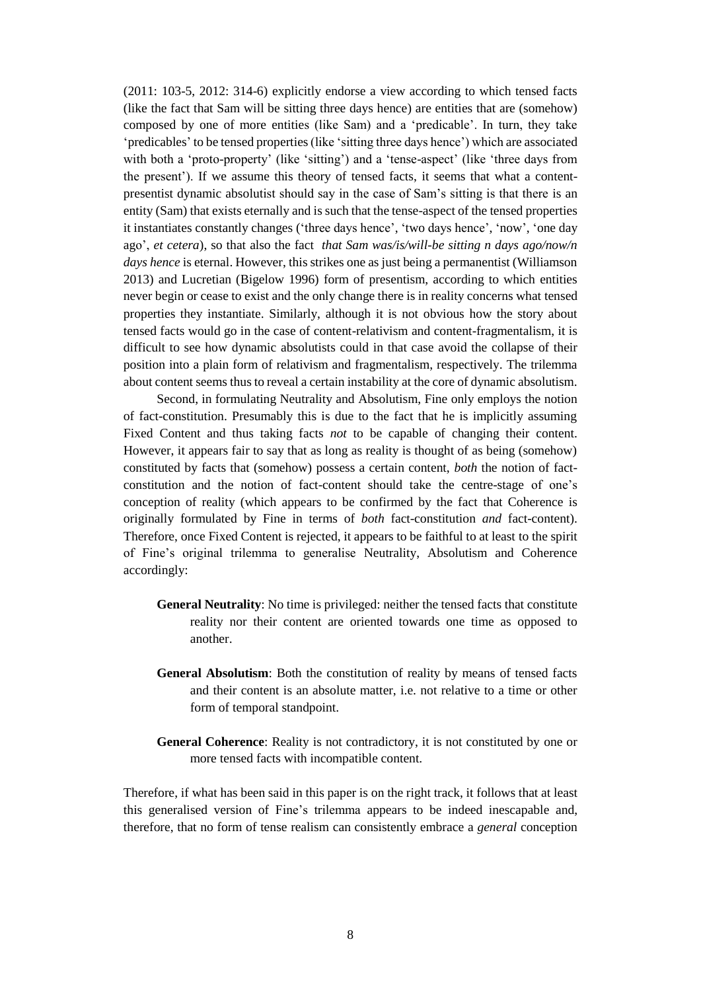(2011: 103-5, 2012: 314-6) explicitly endorse a view according to which tensed facts (like the fact that Sam will be sitting three days hence) are entities that are (somehow) composed by one of more entities (like Sam) and a 'predicable'. In turn, they take 'predicables' to be tensed properties(like 'sitting three days hence') which are associated with both a 'proto-property' (like 'sitting') and a 'tense-aspect' (like 'three days from the present'). If we assume this theory of tensed facts, it seems that what a contentpresentist dynamic absolutist should say in the case of Sam's sitting is that there is an entity (Sam) that exists eternally and is such that the tense-aspect of the tensed properties it instantiates constantly changes ('three days hence', 'two days hence', 'now', 'one day ago', *et cetera*), so that also the fact *that Sam was/is/will-be sitting n days ago/now/n days hence* is eternal. However, this strikes one as just being a permanentist (Williamson 2013) and Lucretian (Bigelow 1996) form of presentism, according to which entities never begin or cease to exist and the only change there is in reality concerns what tensed properties they instantiate. Similarly, although it is not obvious how the story about tensed facts would go in the case of content-relativism and content-fragmentalism, it is difficult to see how dynamic absolutists could in that case avoid the collapse of their position into a plain form of relativism and fragmentalism, respectively. The trilemma about content seems thus to reveal a certain instability at the core of dynamic absolutism.

Second, in formulating Neutrality and Absolutism, Fine only employs the notion of fact-constitution. Presumably this is due to the fact that he is implicitly assuming Fixed Content and thus taking facts *not* to be capable of changing their content. However, it appears fair to say that as long as reality is thought of as being (somehow) constituted by facts that (somehow) possess a certain content, *both* the notion of factconstitution and the notion of fact-content should take the centre-stage of one's conception of reality (which appears to be confirmed by the fact that Coherence is originally formulated by Fine in terms of *both* fact-constitution *and* fact-content). Therefore, once Fixed Content is rejected, it appears to be faithful to at least to the spirit of Fine's original trilemma to generalise Neutrality, Absolutism and Coherence accordingly:

- **General Neutrality**: No time is privileged: neither the tensed facts that constitute reality nor their content are oriented towards one time as opposed to another.
- **General Absolutism**: Both the constitution of reality by means of tensed facts and their content is an absolute matter, i.e. not relative to a time or other form of temporal standpoint.
- **General Coherence**: Reality is not contradictory, it is not constituted by one or more tensed facts with incompatible content.

Therefore, if what has been said in this paper is on the right track, it follows that at least this generalised version of Fine's trilemma appears to be indeed inescapable and, therefore, that no form of tense realism can consistently embrace a *general* conception